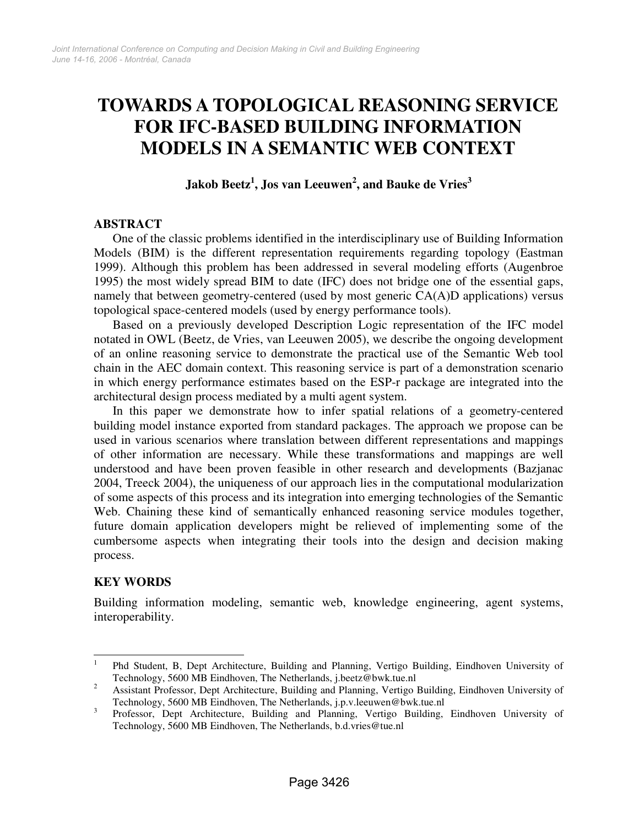# **TOWARDS A TOPOLOGICAL REASONING SERVICE FOR IFC-BASED BUILDING INFORMATION MODELS IN A SEMANTIC WEB CONTEXT**

**Jakob Beetz<sup>1</sup> , Jos van Leeuwen<sup>2</sup> , and Bauke de Vries<sup>3</sup>**

## **ABSTRACT**

One of the classic problems identified in the interdisciplinary use of Building Information Models (BIM) is the different representation requirements regarding topology (Eastman 1999). Although this problem has been addressed in several modeling efforts (Augenbroe 1995) the most widely spread BIM to date (IFC) does not bridge one of the essential gaps, namely that between geometry-centered (used by most generic CA(A)D applications) versus topological space-centered models (used by energy performance tools).

Based on a previously developed Description Logic representation of the IFC model notated in OWL (Beetz, de Vries, van Leeuwen 2005), we describe the ongoing development of an online reasoning service to demonstrate the practical use of the Semantic Web tool chain in the AEC domain context. This reasoning service is part of a demonstration scenario in which energy performance estimates based on the ESP-r package are integrated into the architectural design process mediated by a multi agent system.

In this paper we demonstrate how to infer spatial relations of a geometry-centered building model instance exported from standard packages. The approach we propose can be used in various scenarios where translation between different representations and mappings of other information are necessary. While these transformations and mappings are well understood and have been proven feasible in other research and developments (Bazjanac 2004, Treeck 2004), the uniqueness of our approach lies in the computational modularization of some aspects of this process and its integration into emerging technologies of the Semantic Web. Chaining these kind of semantically enhanced reasoning service modules together, future domain application developers might be relieved of implementing some of the cumbersome aspects when integrating their tools into the design and decision making process.

# **KEY WORDS**

Building information modeling, semantic web, knowledge engineering, agent systems, interoperability.

 $\frac{1}{1}$  Phd Student, B, Dept Architecture, Building and Planning, Vertigo Building, Eindhoven University of Technology, 5600 MB Eindhoven, The Netherlands, j.beetz@bwk.tue.nl

<sup>2</sup> Assistant Professor, Dept Architecture, Building and Planning, Vertigo Building, Eindhoven University of Technology, 5600 MB Eindhoven, The Netherlands, j.p.v.leeuwen@bwk.tue.nl

<sup>3</sup> Professor, Dept Architecture, Building and Planning, Vertigo Building, Eindhoven University of Technology, 5600 MB Eindhoven, The Netherlands, b.d.vries@tue.nl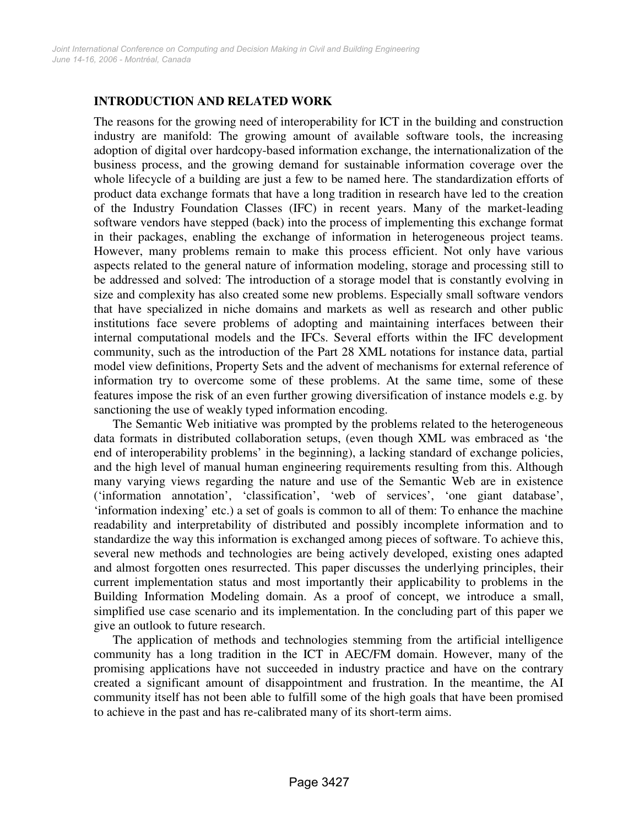# **INTRODUCTION AND RELATED WORK**

The reasons for the growing need of interoperability for ICT in the building and construction industry are manifold: The growing amount of available software tools, the increasing adoption of digital over hardcopy-based information exchange, the internationalization of the business process, and the growing demand for sustainable information coverage over the whole lifecycle of a building are just a few to be named here. The standardization efforts of product data exchange formats that have a long tradition in research have led to the creation of the Industry Foundation Classes (IFC) in recent years. Many of the market-leading software vendors have stepped (back) into the process of implementing this exchange format in their packages, enabling the exchange of information in heterogeneous project teams. However, many problems remain to make this process efficient. Not only have various aspects related to the general nature of information modeling, storage and processing still to be addressed and solved: The introduction of a storage model that is constantly evolving in size and complexity has also created some new problems. Especially small software vendors that have specialized in niche domains and markets as well as research and other public institutions face severe problems of adopting and maintaining interfaces between their internal computational models and the IFCs. Several efforts within the IFC development community, such as the introduction of the Part 28 XML notations for instance data, partial model view definitions, Property Sets and the advent of mechanisms for external reference of information try to overcome some of these problems. At the same time, some of these features impose the risk of an even further growing diversification of instance models e.g. by sanctioning the use of weakly typed information encoding.

The Semantic Web initiative was prompted by the problems related to the heterogeneous data formats in distributed collaboration setups, (even though XML was embraced as 'the end of interoperability problems' in the beginning), a lacking standard of exchange policies, and the high level of manual human engineering requirements resulting from this. Although many varying views regarding the nature and use of the Semantic Web are in existence ('information annotation', 'classification', 'web of services', 'one giant database', 'information indexing' etc.) a set of goals is common to all of them: To enhance the machine readability and interpretability of distributed and possibly incomplete information and to standardize the way this information is exchanged among pieces of software. To achieve this, several new methods and technologies are being actively developed, existing ones adapted and almost forgotten ones resurrected. This paper discusses the underlying principles, their current implementation status and most importantly their applicability to problems in the Building Information Modeling domain. As a proof of concept, we introduce a small, simplified use case scenario and its implementation. In the concluding part of this paper we give an outlook to future research.

The application of methods and technologies stemming from the artificial intelligence community has a long tradition in the ICT in AEC/FM domain. However, many of the promising applications have not succeeded in industry practice and have on the contrary created a significant amount of disappointment and frustration. In the meantime, the AI community itself has not been able to fulfill some of the high goals that have been promised to achieve in the past and has re-calibrated many of its short-term aims.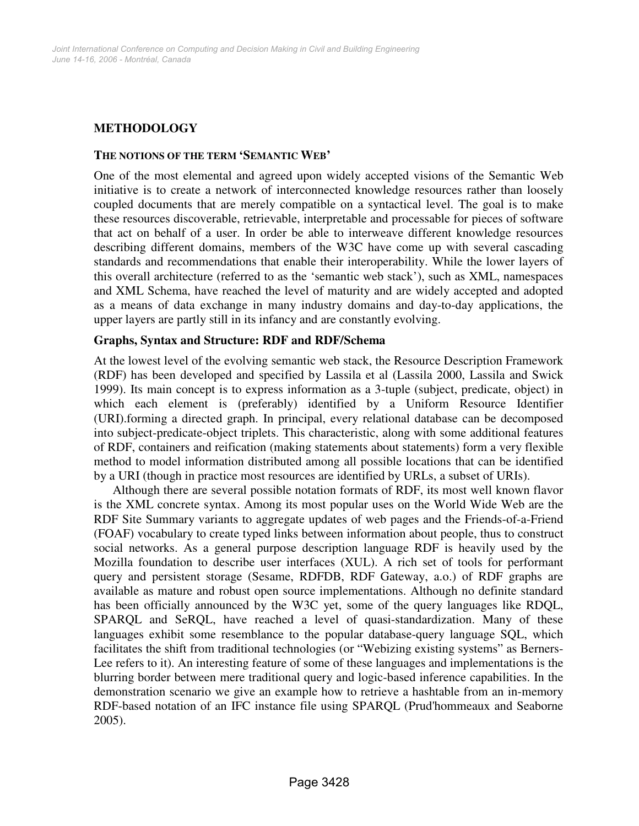# **METHODOLOGY**

#### **THE NOTIONS OF THE TERM 'SEMANTIC WEB'**

One of the most elemental and agreed upon widely accepted visions of the Semantic Web initiative is to create a network of interconnected knowledge resources rather than loosely coupled documents that are merely compatible on a syntactical level. The goal is to make these resources discoverable, retrievable, interpretable and processable for pieces of software that act on behalf of a user. In order be able to interweave different knowledge resources describing different domains, members of the W3C have come up with several cascading standards and recommendations that enable their interoperability. While the lower layers of this overall architecture (referred to as the 'semantic web stack'), such as XML, namespaces and XML Schema, have reached the level of maturity and are widely accepted and adopted as a means of data exchange in many industry domains and day-to-day applications, the upper layers are partly still in its infancy and are constantly evolving.

#### **Graphs, Syntax and Structure: RDF and RDF/Schema**

At the lowest level of the evolving semantic web stack, the Resource Description Framework (RDF) has been developed and specified by Lassila et al (Lassila 2000, Lassila and Swick 1999). Its main concept is to express information as a 3-tuple (subject, predicate, object) in which each element is (preferably) identified by a Uniform Resource Identifier (URI).forming a directed graph. In principal, every relational database can be decomposed into subject-predicate-object triplets. This characteristic, along with some additional features of RDF, containers and reification (making statements about statements) form a very flexible method to model information distributed among all possible locations that can be identified by a URI (though in practice most resources are identified by URLs, a subset of URIs).

Although there are several possible notation formats of RDF, its most well known flavor is the XML concrete syntax. Among its most popular uses on the World Wide Web are the RDF Site Summary variants to aggregate updates of web pages and the Friends-of-a-Friend (FOAF) vocabulary to create typed links between information about people, thus to construct social networks. As a general purpose description language RDF is heavily used by the Mozilla foundation to describe user interfaces (XUL). A rich set of tools for performant query and persistent storage (Sesame, RDFDB, RDF Gateway, a.o.) of RDF graphs are available as mature and robust open source implementations. Although no definite standard has been officially announced by the W3C yet, some of the query languages like RDQL, SPARQL and SeRQL, have reached a level of quasi-standardization. Many of these languages exhibit some resemblance to the popular database-query language SQL, which facilitates the shift from traditional technologies (or "Webizing existing systems" as Berners-Lee refers to it). An interesting feature of some of these languages and implementations is the blurring border between mere traditional query and logic-based inference capabilities. In the demonstration scenario we give an example how to retrieve a hashtable from an in-memory RDF-based notation of an IFC instance file using SPARQL (Prud'hommeaux and Seaborne 2005).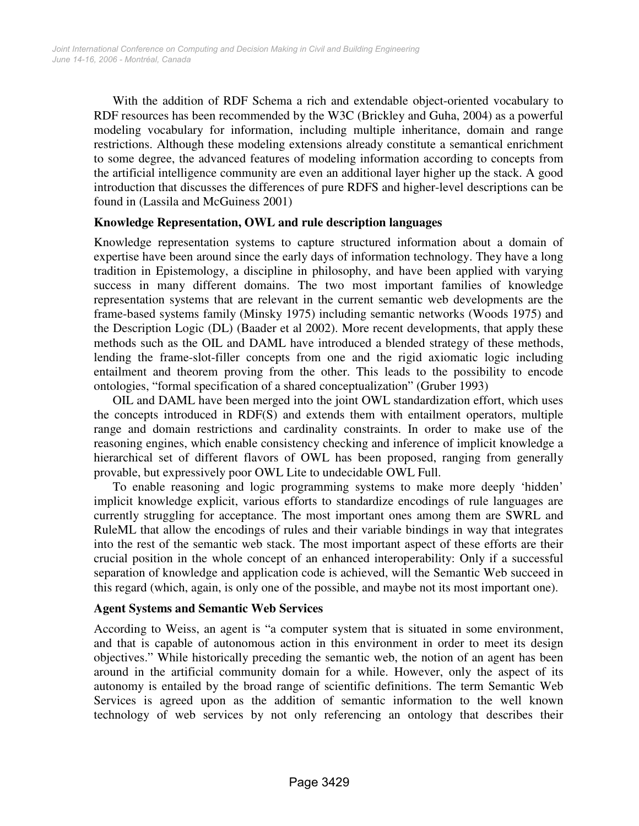With the addition of RDF Schema a rich and extendable object-oriented vocabulary to RDF resources has been recommended by the W3C (Brickley and Guha, 2004) as a powerful modeling vocabulary for information, including multiple inheritance, domain and range restrictions. Although these modeling extensions already constitute a semantical enrichment to some degree, the advanced features of modeling information according to concepts from the artificial intelligence community are even an additional layer higher up the stack. A good introduction that discusses the differences of pure RDFS and higher-level descriptions can be found in (Lassila and McGuiness 2001)

## **Knowledge Representation, OWL and rule description languages**

Knowledge representation systems to capture structured information about a domain of expertise have been around since the early days of information technology. They have a long tradition in Epistemology, a discipline in philosophy, and have been applied with varying success in many different domains. The two most important families of knowledge representation systems that are relevant in the current semantic web developments are the frame-based systems family (Minsky 1975) including semantic networks (Woods 1975) and the Description Logic (DL) (Baader et al 2002). More recent developments, that apply these methods such as the OIL and DAML have introduced a blended strategy of these methods, lending the frame-slot-filler concepts from one and the rigid axiomatic logic including entailment and theorem proving from the other. This leads to the possibility to encode ontologies, "formal specification of a shared conceptualization" (Gruber 1993)

OIL and DAML have been merged into the joint OWL standardization effort, which uses the concepts introduced in RDF(S) and extends them with entailment operators, multiple range and domain restrictions and cardinality constraints. In order to make use of the reasoning engines, which enable consistency checking and inference of implicit knowledge a hierarchical set of different flavors of OWL has been proposed, ranging from generally provable, but expressively poor OWL Lite to undecidable OWL Full.

To enable reasoning and logic programming systems to make more deeply 'hidden' implicit knowledge explicit, various efforts to standardize encodings of rule languages are currently struggling for acceptance. The most important ones among them are SWRL and RuleML that allow the encodings of rules and their variable bindings in way that integrates into the rest of the semantic web stack. The most important aspect of these efforts are their crucial position in the whole concept of an enhanced interoperability: Only if a successful separation of knowledge and application code is achieved, will the Semantic Web succeed in this regard (which, again, is only one of the possible, and maybe not its most important one).

## **Agent Systems and Semantic Web Services**

According to Weiss, an agent is "a computer system that is situated in some environment, and that is capable of autonomous action in this environment in order to meet its design objectives." While historically preceding the semantic web, the notion of an agent has been around in the artificial community domain for a while. However, only the aspect of its autonomy is entailed by the broad range of scientific definitions. The term Semantic Web Services is agreed upon as the addition of semantic information to the well known technology of web services by not only referencing an ontology that describes their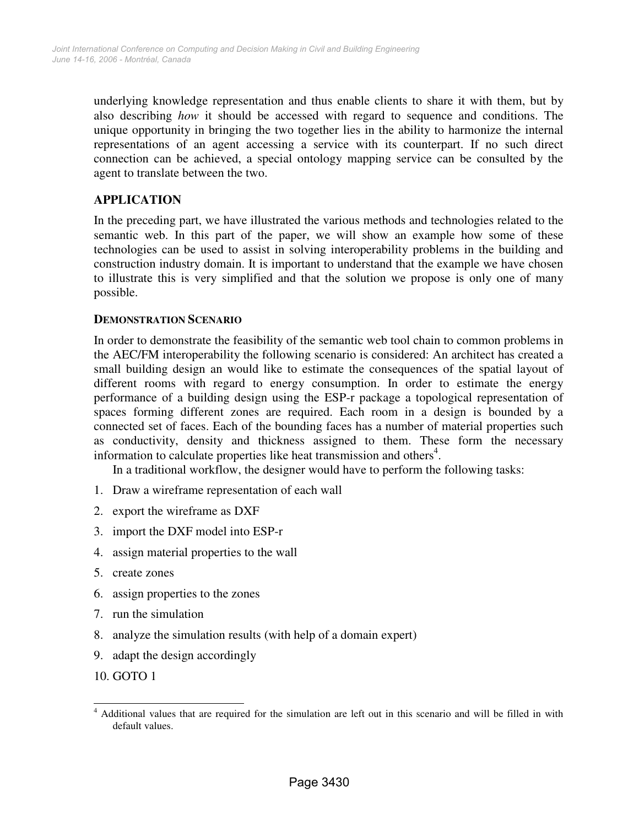underlying knowledge representation and thus enable clients to share it with them, but by also describing *how* it should be accessed with regard to sequence and conditions. The unique opportunity in bringing the two together lies in the ability to harmonize the internal representations of an agent accessing a service with its counterpart. If no such direct connection can be achieved, a special ontology mapping service can be consulted by the agent to translate between the two.

# **APPLICATION**

In the preceding part, we have illustrated the various methods and technologies related to the semantic web. In this part of the paper, we will show an example how some of these technologies can be used to assist in solving interoperability problems in the building and construction industry domain. It is important to understand that the example we have chosen to illustrate this is very simplified and that the solution we propose is only one of many possible.

## **DEMONSTRATION SCENARIO**

In order to demonstrate the feasibility of the semantic web tool chain to common problems in the AEC/FM interoperability the following scenario is considered: An architect has created a small building design an would like to estimate the consequences of the spatial layout of different rooms with regard to energy consumption. In order to estimate the energy performance of a building design using the ESP-r package a topological representation of spaces forming different zones are required. Each room in a design is bounded by a connected set of faces. Each of the bounding faces has a number of material properties such as conductivity, density and thickness assigned to them. These form the necessary information to calculate properties like heat transmission and others<sup>4</sup>.

In a traditional workflow, the designer would have to perform the following tasks:

- 1. Draw a wireframe representation of each wall
- 2. export the wireframe as DXF
- 3. import the DXF model into ESP-r
- 4. assign material properties to the wall
- 5. create zones
- 6. assign properties to the zones
- 7. run the simulation
- 8. analyze the simulation results (with help of a domain expert)
- 9. adapt the design accordingly
- 10. GOTO 1

<sup>&</sup>lt;sup>4</sup> Additional values that are required for the simulation are left out in this scenario and will be filled in with default values.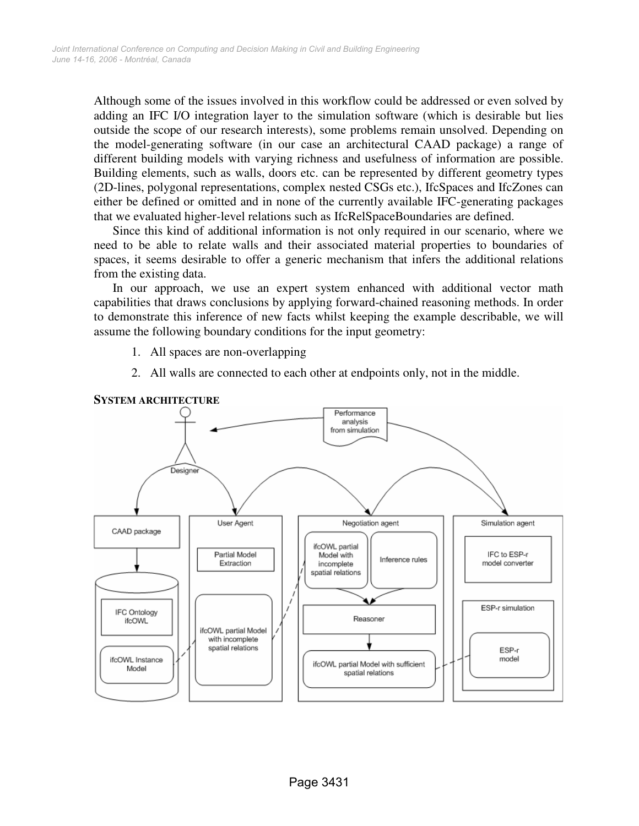Although some of the issues involved in this workflow could be addressed or even solved by adding an IFC I/O integration layer to the simulation software (which is desirable but lies outside the scope of our research interests), some problems remain unsolved. Depending on the model-generating software (in our case an architectural CAAD package) a range of different building models with varying richness and usefulness of information are possible. Building elements, such as walls, doors etc. can be represented by different geometry types (2D-lines, polygonal representations, complex nested CSGs etc.), IfcSpaces and IfcZones can either be defined or omitted and in none of the currently available IFC-generating packages that we evaluated higher-level relations such as IfcRelSpaceBoundaries are defined.

Since this kind of additional information is not only required in our scenario, where we need to be able to relate walls and their associated material properties to boundaries of spaces, it seems desirable to offer a generic mechanism that infers the additional relations from the existing data.

In our approach, we use an expert system enhanced with additional vector math capabilities that draws conclusions by applying forward-chained reasoning methods. In order to demonstrate this inference of new facts whilst keeping the example describable, we will assume the following boundary conditions for the input geometry:

- 1. All spaces are non-overlapping
- 2. All walls are connected to each other at endpoints only, not in the middle.



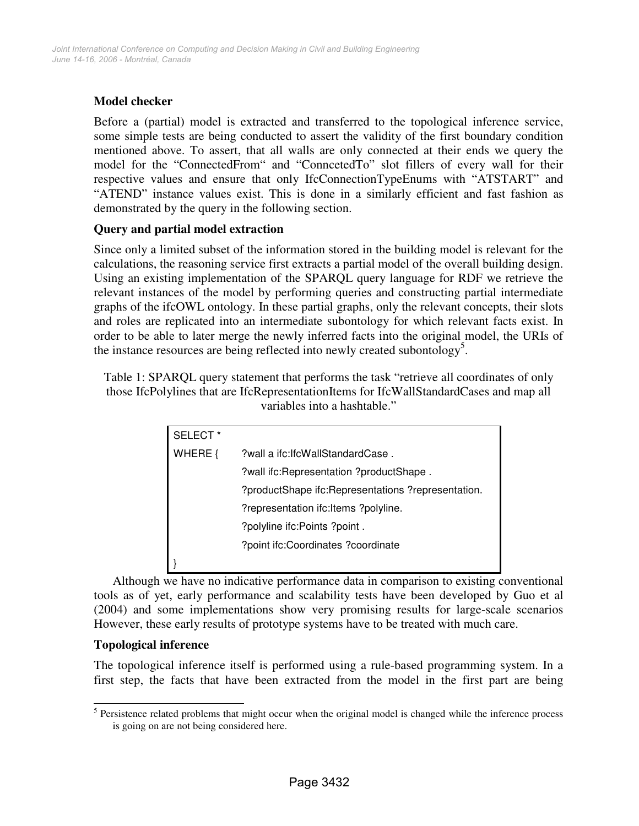# **Model checker**

Before a (partial) model is extracted and transferred to the topological inference service, some simple tests are being conducted to assert the validity of the first boundary condition mentioned above. To assert, that all walls are only connected at their ends we query the model for the "ConnectedFrom" and "ConncetedTo" slot fillers of every wall for their respective values and ensure that only IfcConnectionTypeEnums with "ATSTART" and "ATEND" instance values exist. This is done in a similarly efficient and fast fashion as demonstrated by the query in the following section.

# **Query and partial model extraction**

Since only a limited subset of the information stored in the building model is relevant for the calculations, the reasoning service first extracts a partial model of the overall building design. Using an existing implementation of the SPARQL query language for RDF we retrieve the relevant instances of the model by performing queries and constructing partial intermediate graphs of the ifcOWL ontology. In these partial graphs, only the relevant concepts, their slots and roles are replicated into an intermediate subontology for which relevant facts exist. In order to be able to later merge the newly inferred facts into the original model, the URIs of the instance resources are being reflected into newly created subontology<sup>5</sup>.

Table 1: SPARQL query statement that performs the task "retrieve all coordinates of only those IfcPolylines that are IfcRepresentationItems for IfcWallStandardCases and map all variables into a hashtable."

| SELECT <sup>*</sup> |                                                    |
|---------------------|----------------------------------------------------|
| WHERE {             | ?wall a ifc:lfcWallStandardCase.                   |
|                     | ?wall ifc:Representation ?productShape.            |
|                     | ?productShape ifc:Representations ?representation. |
|                     | ?representation ifc: Items ?polyline.              |
|                     | ?polyline ifc:Points ?point.                       |
|                     | ?point ifc:Coordinates ?coordinate                 |
|                     |                                                    |

Although we have no indicative performance data in comparison to existing conventional tools as of yet, early performance and scalability tests have been developed by Guo et al (2004) and some implementations show very promising results for large-scale scenarios However, these early results of prototype systems have to be treated with much care.

# **Topological inference**

The topological inference itself is performed using a rule-based programming system. In a first step, the facts that have been extracted from the model in the first part are being

<sup>&</sup>lt;sup>5</sup> Persistence related problems that might occur when the original model is changed while the inference process is going on are not being considered here.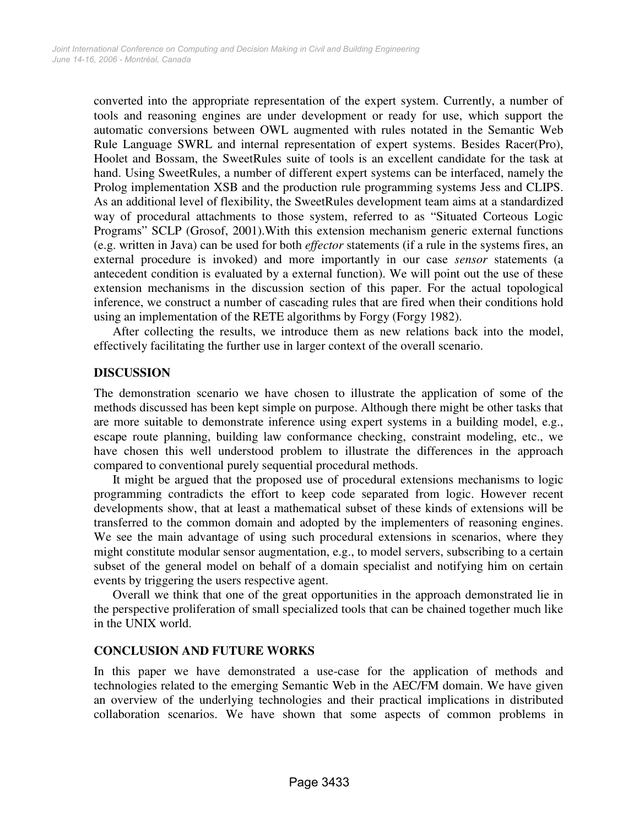converted into the appropriate representation of the expert system. Currently, a number of tools and reasoning engines are under development or ready for use, which support the automatic conversions between OWL augmented with rules notated in the Semantic Web Rule Language SWRL and internal representation of expert systems. Besides Racer(Pro), Hoolet and Bossam, the SweetRules suite of tools is an excellent candidate for the task at hand. Using SweetRules, a number of different expert systems can be interfaced, namely the Prolog implementation XSB and the production rule programming systems Jess and CLIPS. As an additional level of flexibility, the SweetRules development team aims at a standardized way of procedural attachments to those system, referred to as "Situated Corteous Logic Programs" SCLP (Grosof, 2001).With this extension mechanism generic external functions (e.g. written in Java) can be used for both *effector* statements (if a rule in the systems fires, an external procedure is invoked) and more importantly in our case *sensor* statements (a antecedent condition is evaluated by a external function). We will point out the use of these extension mechanisms in the discussion section of this paper. For the actual topological inference, we construct a number of cascading rules that are fired when their conditions hold using an implementation of the RETE algorithms by Forgy (Forgy 1982).

After collecting the results, we introduce them as new relations back into the model, effectively facilitating the further use in larger context of the overall scenario.

# **DISCUSSION**

The demonstration scenario we have chosen to illustrate the application of some of the methods discussed has been kept simple on purpose. Although there might be other tasks that are more suitable to demonstrate inference using expert systems in a building model, e.g., escape route planning, building law conformance checking, constraint modeling, etc., we have chosen this well understood problem to illustrate the differences in the approach compared to conventional purely sequential procedural methods.

It might be argued that the proposed use of procedural extensions mechanisms to logic programming contradicts the effort to keep code separated from logic. However recent developments show, that at least a mathematical subset of these kinds of extensions will be transferred to the common domain and adopted by the implementers of reasoning engines. We see the main advantage of using such procedural extensions in scenarios, where they might constitute modular sensor augmentation, e.g., to model servers, subscribing to a certain subset of the general model on behalf of a domain specialist and notifying him on certain events by triggering the users respective agent.

Overall we think that one of the great opportunities in the approach demonstrated lie in the perspective proliferation of small specialized tools that can be chained together much like in the UNIX world.

# **CONCLUSION AND FUTURE WORKS**

In this paper we have demonstrated a use-case for the application of methods and technologies related to the emerging Semantic Web in the AEC/FM domain. We have given an overview of the underlying technologies and their practical implications in distributed collaboration scenarios. We have shown that some aspects of common problems in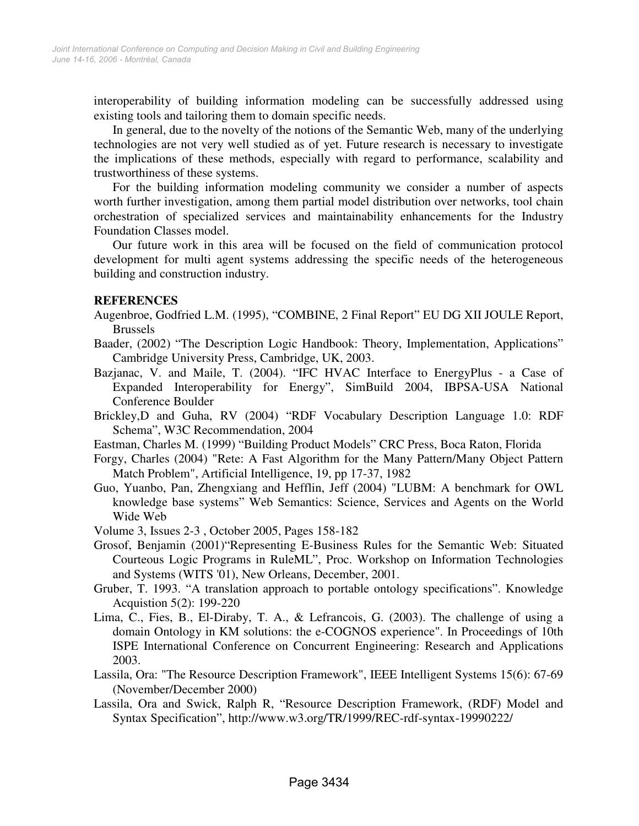interoperability of building information modeling can be successfully addressed using existing tools and tailoring them to domain specific needs.

In general, due to the novelty of the notions of the Semantic Web, many of the underlying technologies are not very well studied as of yet. Future research is necessary to investigate the implications of these methods, especially with regard to performance, scalability and trustworthiness of these systems.

For the building information modeling community we consider a number of aspects worth further investigation, among them partial model distribution over networks, tool chain orchestration of specialized services and maintainability enhancements for the Industry Foundation Classes model.

Our future work in this area will be focused on the field of communication protocol development for multi agent systems addressing the specific needs of the heterogeneous building and construction industry.

## **REFERENCES**

- Augenbroe, Godfried L.M. (1995), "COMBINE, 2 Final Report" EU DG XII JOULE Report, Brussels
- Baader, (2002) "The Description Logic Handbook: Theory, Implementation, Applications" Cambridge University Press, Cambridge, UK, 2003.
- Bazjanac, V. and Maile, T. (2004). "IFC HVAC Interface to EnergyPlus a Case of Expanded Interoperability for Energy", SimBuild 2004, IBPSA-USA National Conference Boulder
- Brickley,D and Guha, RV (2004) "RDF Vocabulary Description Language 1.0: RDF Schema", W3C Recommendation, 2004

Eastman, Charles M. (1999) "Building Product Models" CRC Press, Boca Raton, Florida

- Forgy, Charles (2004) "Rete: A Fast Algorithm for the Many Pattern/Many Object Pattern Match Problem", Artificial Intelligence, 19, pp 17-37, 1982
- Guo, Yuanbo, Pan, Zhengxiang and Hefflin, Jeff (2004) "LUBM: A benchmark for OWL knowledge base systems" Web Semantics: Science, Services and Agents on the World Wide Web
- Volume 3, Issues 2-3 , October 2005, Pages 158-182
- Grosof, Benjamin (2001)"Representing E-Business Rules for the Semantic Web: Situated Courteous Logic Programs in RuleML", Proc. Workshop on Information Technologies and Systems (WITS '01), New Orleans, December, 2001.
- Gruber, T. 1993. "A translation approach to portable ontology specifications". Knowledge Acquistion 5(2): 199-220
- Lima, C., Fies, B., El-Diraby, T. A., & Lefrancois, G. (2003). The challenge of using a domain Ontology in KM solutions: the e-COGNOS experience". In Proceedings of 10th ISPE International Conference on Concurrent Engineering: Research and Applications 2003.
- Lassila, Ora: "The Resource Description Framework", IEEE Intelligent Systems 15(6): 67-69 (November/December 2000)
- Lassila, Ora and Swick, Ralph R, "Resource Description Framework, (RDF) Model and Syntax Specification", http://www.w3.org/TR/1999/REC-rdf-syntax-19990222/